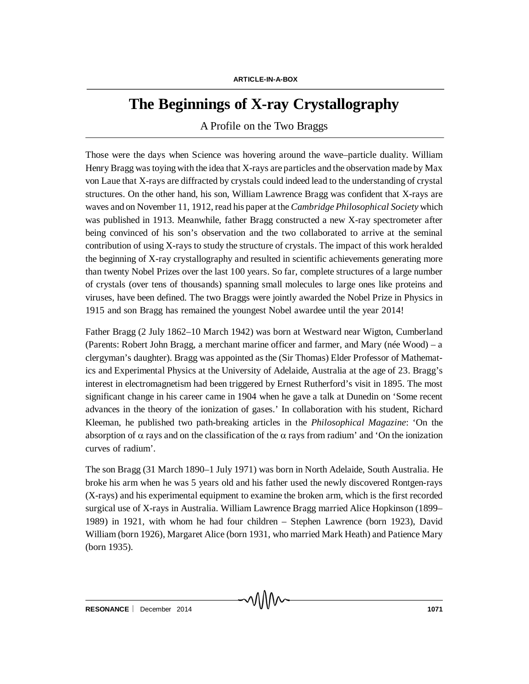## **The Beginnings of X-ray Crystallography**

A Profile on the Two Braggs

Those were the days when Science was hovering around the wave–particle duality. William Henry Bragg was toying with the idea that X-rays are particles and the observation made by Max von Laue that X-rays are diffracted by crystals could indeed lead to the understanding of crystal structures. On the other hand, his son, William Lawrence Bragg was confident that X-rays are waves and on November 11, 1912, read his paper at the *Cambridge Philosophical Society* which was published in 1913. Meanwhile, father Bragg constructed a new X-ray spectrometer after being convinced of his son's observation and the two collaborated to arrive at the seminal contribution of using X-rays to study the structure of crystals. The impact of this work heralded the beginning of X-ray crystallography and resulted in scientific achievements generating more than twenty Nobel Prizes over the last 100 years. So far, complete structures of a large number of crystals (over tens of thousands) spanning small molecules to large ones like proteins and viruses, have been defined. The two Braggs were jointly awarded the Nobel Prize in Physics in 1915 and son Bragg has remained the youngest Nobel awardee until the year 2014!

Father Bragg (2 July 1862–10 March 1942) was born at Westward near Wigton, Cumberland (Parents: Robert John Bragg, a merchant marine officer and farmer, and Mary (née Wood) – a clergyman's daughter). Bragg was appointed as the (Sir Thomas) Elder Professor of Mathematics and Experimental Physics at the University of Adelaide, Australia at the age of 23. Bragg's interest in electromagnetism had been triggered by Ernest Rutherford's visit in 1895. The most significant change in his career came in 1904 when he gave a talk at Dunedin on 'Some recent advances in the theory of the ionization of gases.' In collaboration with his student, Richard Kleeman, he published two path-breaking articles in the *Philosophical Magazine*: 'On the absorption of  $\alpha$  rays and on the classification of the  $\alpha$  rays from radium' and 'On the ionization curves of radium'.

The son Bragg (31 March 1890–1 July 1971) was born in North Adelaide, South Australia. He broke his arm when he was 5 years old and his father used the newly discovered Rontgen-rays (X-rays) and his experimental equipment to examine the broken arm, which is the first recorded surgical use of X-rays in Australia. William Lawrence Bragg married Alice Hopkinson (1899– 1989) in 1921, with whom he had four children – Stephen Lawrence (born 1923), David William (born 1926), Margaret Alice (born 1931, who married Mark Heath) and Patience Mary (born 1935).

MW∿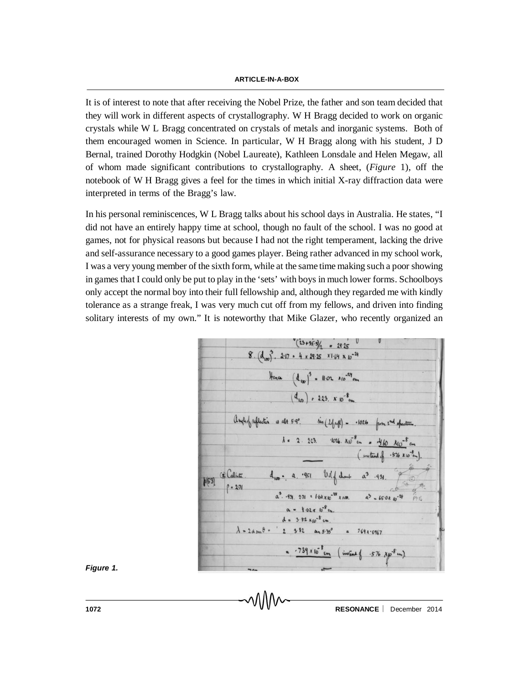It is of interest to note that after receiving the Nobel Prize, the father and son team decided that they will work in different aspects of crystallography. W H Bragg decided to work on organic crystals while W L Bragg concentrated on crystals of metals and inorganic systems. Both of them encouraged women in Science. In particular, W H Bragg along with his student, J D Bernal, trained Dorothy Hodgkin (Nobel Laureate), Kathleen Lonsdale and Helen Megaw, all of whom made significant contributions to crystallography. A sheet, (*Figure* 1), off the notebook of W H Bragg gives a feel for the times in which initial X-ray diffraction data were interpreted in terms of the Bragg's law.

In his personal reminiscences, W L Bragg talks about his school days in Australia. He states, "I did not have an entirely happy time at school, though no fault of the school. I was no good at games, not for physical reasons but because I had not the right temperament, lacking the drive and self-assurance necessary to a good games player. Being rather advanced in my school work, I was a very young member of the sixth form, while at the same time making such a poor showing in games that I could only be put to play in the 'sets' with boys in much lower forms. Schoolboys only accept the normal boy into their full fellowship and, although they regarded me with kindly tolerance as a strange freak, I was very much cut off from my fellows, and driven into finding solitary interests of my own." It is noteworthy that Mike Glazer, who recently organized an

8.  $(d_{02})^2$ , 2.17 = 4 x 29.25 x1.64 x 10<sup>-24</sup> Hence  $(d_{1\omega})^3$  = 1102  $x_{10}^{-2.4}$  om  $(d_{up})$  = 2.23,  $x$  to  $^8$ angles reflection is all 5.9°.  $\frac{\sin{(24u/k)}}{2}$  - 1026  $\lambda = 2.223$   $1016.810$   $\text{cm} = \frac{1}{160}$   $\text{K}_{10}$  $motted + 576 x10$  $P = 271$  $a^{3}$ .  $93$ ,  $271 = 169 \times 10^{-28} \times 100$ .  $4^3 - 65.08$  m  $p_{2T}$  $a = 1.02$   $\times 10^{-8}$  cm  $3 - 82x + 6$  $\lambda = 24 \text{ m} \theta$  $3.82$  $7.64 \times 0.0167$ =  $-739 \times 10^{-6}$  cm (instead)  $-576 \times 10^{-8}$  cm).

*Figure 1.*